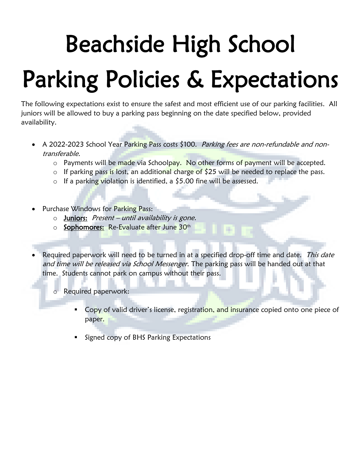## Beachside High School Parking Policies & Expectations

The following expectations exist to ensure the safest and most efficient use of our parking facilities. All juniors will be allowed to buy a parking pass beginning on the date specified below, provided availability.

- A 2022-2023 School Year Parking Pass costs \$100. Parking fees are non-refundable and nontransferable.
	- o Payments will be made via Schoolpay. No other forms of payment will be accepted.
	- o If parking pass is lost, an additional charge of  $\frac{1}{2}$  will be needed to replace the pass.
	- o If a parking violation is identified, a \$5.00 fine will be assessed.
- Purchase Windows for Parking Pass:
	- $\circ$  Juniors: Present until availability is gone.
	- o Sophomores: Re-Evaluate after June 30th

Required paperwork will need to be turned in at a specified drop-off time and date. This date and time will be released via School Messenger. The parking pass will be handed out at that time. Students cannot park on campus without their pass.

Required paperwork:

- Copy of valid driver's license, registration, and insurance copied onto one piece of paper.
- Signed copy of BHS Parking Expectations